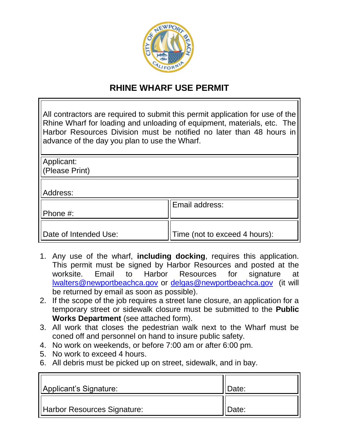

## **RHINE WHARF USE PERMIT**

| All contractors are required to submit this permit application for use of the<br>Rhine Wharf for loading and unloading of equipment, materials, etc. The<br>Harbor Resources Division must be notified no later than 48 hours in<br>advance of the day you plan to use the Wharf. |                               |
|-----------------------------------------------------------------------------------------------------------------------------------------------------------------------------------------------------------------------------------------------------------------------------------|-------------------------------|
| Applicant:                                                                                                                                                                                                                                                                        |                               |
| (Please Print)                                                                                                                                                                                                                                                                    |                               |
| Address:                                                                                                                                                                                                                                                                          |                               |
|                                                                                                                                                                                                                                                                                   | Email address:                |
| Phone #:                                                                                                                                                                                                                                                                          |                               |
| Date of Intended Use:                                                                                                                                                                                                                                                             | Time (not to exceed 4 hours): |

- 1. Any use of the wharf, **including docking**, requires this application. This permit must be signed by Harbor Resources and posted at the worksite. Email to Harbor Resources for signature at [lwalters@newportbeachca.gov](mailto:lwalters@newportbeachca.gov) or [delgas@newportbeachca.gov](mailto:delgas@newportbeachca.gov) (it will be returned by email as soon as possible).
- 2. If the scope of the job requires a street lane closure, an application for a temporary street or sidewalk closure must be submitted to the **Public Works Department** (see attached form).
- 3. All work that closes the pedestrian walk next to the Wharf must be coned off and personnel on hand to insure public safety.
- 4. No work on weekends, or before 7:00 am or after 6:00 pm.
- 5. No work to exceed 4 hours.
- 6. All debris must be picked up on street, sidewalk, and in bay.

| Applicant's Signature:      | Date: |
|-----------------------------|-------|
| Harbor Resources Signature: | Date: |